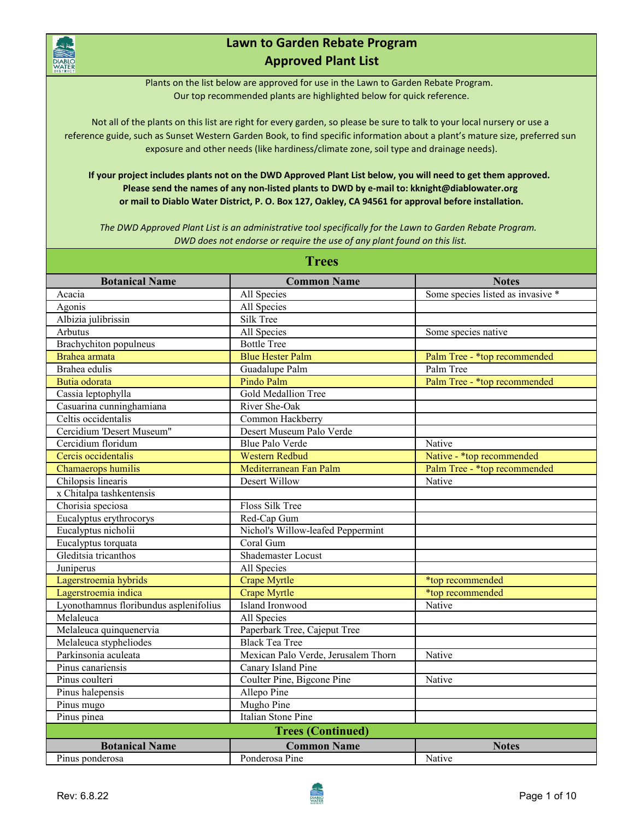

## **Lawn to Garden Rebate Program Approved Plant List**

Plants on the list below are approved for use in the Lawn to Garden Rebate Program. Our top recommended plants are highlighted below for quick reference.

Not all of the plants on this list are right for every garden, so please be sure to talk to your local nursery or use a reference guide, such as Sunset Western Garden Book, to find specific information about a plant's mature size, preferred sun exposure and other needs (like hardiness/climate zone, soil type and drainage needs).

**If your project includes plants not on the DWD Approved Plant List below, you will need to get them approved. Please send the names of any non-listed plants to DWD by e-mail to: kknight@diablowater.org or mail to Diablo Water District, P. O. Box 127, Oakley, CA 94561 for approval before installation.**

*The DWD Approved Plant List is an administrative tool specifically for the Lawn to Garden Rebate Program. DWD does not endorse or require the use of any plant found on this list.* 

| <b>Trees</b>                           |                                     |                                   |  |
|----------------------------------------|-------------------------------------|-----------------------------------|--|
| <b>Botanical Name</b>                  | <b>Common Name</b>                  | <b>Notes</b>                      |  |
| Acacia                                 | All Species                         | Some species listed as invasive * |  |
| Agonis                                 | All Species                         |                                   |  |
| Albizia julibrissin                    | Silk Tree                           |                                   |  |
| Arbutus                                | All Species                         | Some species native               |  |
| Brachychiton populneus                 | <b>Bottle Tree</b>                  |                                   |  |
| Brahea armata                          | <b>Blue Hester Palm</b>             | Palm Tree - *top recommended      |  |
| Brahea edulis                          | Guadalupe Palm                      | Palm Tree                         |  |
| Butia odorata                          | Pindo Palm                          | Palm Tree - *top recommended      |  |
| Cassia leptophylla                     | Gold Medallion Tree                 |                                   |  |
| Casuarina cunninghamiana               | River She-Oak                       |                                   |  |
| Celtis occidentalis                    | Common Hackberry                    |                                   |  |
| Cercidium 'Desert Museum"              | Desert Museum Palo Verde            |                                   |  |
| Cercidium floridum                     | <b>Blue Palo Verde</b>              | Native                            |  |
| Cercis occidentalis                    | <b>Western Redbud</b>               | Native - *top recommended         |  |
| Chamaerops humilis                     | Mediterranean Fan Palm              | Palm Tree - *top recommended      |  |
| Chilopsis linearis                     | <b>Desert Willow</b>                | Native                            |  |
| x Chitalpa tashkentensis               |                                     |                                   |  |
| Chorisia speciosa                      | Floss Silk Tree                     |                                   |  |
| Eucalyptus erythrocorys                | Red-Cap Gum                         |                                   |  |
| Eucalyptus nicholii                    | Nichol's Willow-leafed Peppermint   |                                   |  |
| Eucalyptus torquata                    | Coral Gum                           |                                   |  |
| Gleditsia tricanthos                   | <b>Shademaster Locust</b>           |                                   |  |
| Juniperus                              | All Species                         |                                   |  |
| Lagerstroemia hybrids                  | <b>Crape Myrtle</b>                 | *top recommended                  |  |
| Lagerstroemia indica                   | <b>Crape Myrtle</b>                 | *top recommended                  |  |
| Lyonothamnus floribundus asplenifolius | Island Ironwood                     | Native                            |  |
| Melaleuca                              | All Species                         |                                   |  |
| Melaleuca quinquenervia                | Paperbark Tree, Cajeput Tree        |                                   |  |
| Melaleuca stypheliodes                 | <b>Black Tea Tree</b>               |                                   |  |
| Parkinsonia aculeata                   | Mexican Palo Verde, Jerusalem Thorn | Native                            |  |
| Pinus canariensis                      | Canary Island Pine                  |                                   |  |
| Pinus coulteri                         | Coulter Pine, Bigcone Pine          | Native                            |  |
| Pinus halepensis                       | Allepo Pine                         |                                   |  |
| Pinus mugo                             | Mugho Pine                          |                                   |  |
| Pinus pinea                            | Italian Stone Pine                  |                                   |  |
|                                        | <b>Trees (Continued)</b>            |                                   |  |
| <b>Botanical Name</b>                  | <b>Common Name</b>                  | <b>Notes</b>                      |  |
| Pinus ponderosa                        | Ponderosa Pine                      | Native                            |  |

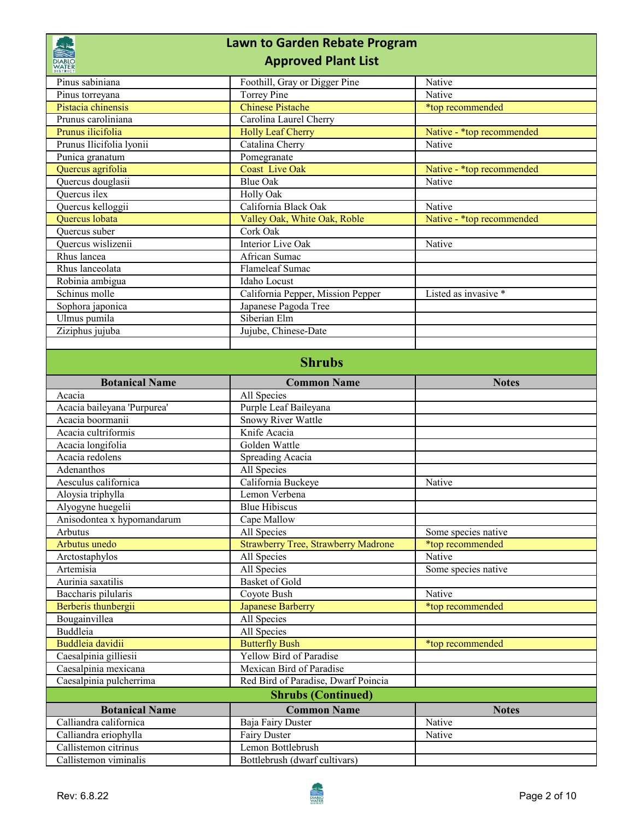| <b>Lawn to Garden Rebate Program</b>            |                                            |                           |  |  |
|-------------------------------------------------|--------------------------------------------|---------------------------|--|--|
| <b>Approved Plant List</b>                      |                                            |                           |  |  |
| Pinus sabiniana                                 | Foothill, Gray or Digger Pine              | Native                    |  |  |
| Pinus torreyana                                 | <b>Torrey Pine</b>                         | Native                    |  |  |
| Pistacia chinensis                              | <b>Chinese Pistache</b>                    | *top recommended          |  |  |
| Prunus caroliniana                              | Carolina Laurel Cherry                     |                           |  |  |
| Prunus ilicifolia                               | <b>Holly Leaf Cherry</b>                   | Native - *top recommended |  |  |
| Prunus Ilicifolia lyonii                        | Catalina Cherry                            | Native                    |  |  |
| Punica granatum                                 | Pomegranate                                |                           |  |  |
| Quercus agrifolia                               | <b>Coast Live Oak</b>                      | Native - *top recommended |  |  |
| Quercus douglasii<br>Quercus ilex               | <b>Blue Oak</b>                            | Native                    |  |  |
| Quercus kelloggii                               | Holly Oak<br>California Black Oak          | Native                    |  |  |
| Quercus lobata                                  | Valley Oak, White Oak, Roble               | Native - *top recommended |  |  |
| Ouercus suber                                   | Cork Oak                                   |                           |  |  |
| Quercus wislizenii                              | <b>Interior Live Oak</b>                   | Native                    |  |  |
| Rhus lancea                                     | African Sumac                              |                           |  |  |
| Rhus lanceolata                                 | Flameleaf Sumac                            |                           |  |  |
| Robinia ambigua                                 | Idaho Locust                               |                           |  |  |
| Schinus molle                                   | California Pepper, Mission Pepper          | Listed as invasive *      |  |  |
| Sophora japonica                                | Japanese Pagoda Tree                       |                           |  |  |
| Ulmus pumila                                    | Siberian Elm                               |                           |  |  |
| Ziziphus jujuba                                 | Jujube, Chinese-Date                       |                           |  |  |
|                                                 |                                            |                           |  |  |
|                                                 | <b>Shrubs</b>                              |                           |  |  |
| <b>Botanical Name</b>                           | <b>Common Name</b>                         | <b>Notes</b>              |  |  |
| Acacia                                          | All Species                                |                           |  |  |
| Acacia baileyana 'Purpurea'                     | Purple Leaf Baileyana                      |                           |  |  |
| Acacia boormanii                                | <b>Snowy River Wattle</b>                  |                           |  |  |
| Acacia cultriformis                             | Knife Acacia                               |                           |  |  |
| Acacia longifolia                               | Golden Wattle                              |                           |  |  |
| Acacia redolens                                 | Spreading Acacia                           |                           |  |  |
| Adenanthos                                      | All Species                                |                           |  |  |
| Aesculus californica                            | California Buckeye                         | Native                    |  |  |
| Aloysia triphylla                               | Lemon Verbena                              |                           |  |  |
| Alyogyne huegelii<br>Anisodontea x hypomandarum | <b>Blue Hibiscus</b><br>Cape Mallow        |                           |  |  |
| Arbutus                                         | All Species                                | Some species native       |  |  |
| Arbutus unedo                                   | <b>Strawberry Tree, Strawberry Madrone</b> | *top recommended          |  |  |
| Arctostaphylos                                  | All Species                                | Native                    |  |  |
| Artemisia                                       | All Species                                | Some species native       |  |  |
| Aurinia saxatilis                               | Basket of Gold                             |                           |  |  |
| Baccharis pilularis                             | Coyote Bush                                | Native                    |  |  |
| Berberis thunbergii                             | <b>Japanese Barberry</b>                   | *top recommended          |  |  |
| Bougainvillea                                   | All Species                                |                           |  |  |
| Buddleia                                        | All Species                                |                           |  |  |
| Buddleia davidii                                | <b>Butterfly Bush</b>                      | *top recommended          |  |  |
| Caesalpinia gilliesii                           | Yellow Bird of Paradise                    |                           |  |  |
| Caesalpinia mexicana                            | Mexican Bird of Paradise                   |                           |  |  |
| Caesalpinia pulcherrima                         |                                            |                           |  |  |
|                                                 | Red Bird of Paradise, Dwarf Poincia        |                           |  |  |
|                                                 | <b>Shrubs (Continued)</b>                  |                           |  |  |
| <b>Botanical Name</b>                           | <b>Common Name</b>                         | <b>Notes</b>              |  |  |
| Calliandra californica                          | Baja Fairy Duster                          | Native                    |  |  |
| Calliandra eriophylla                           | <b>Fairy Duster</b>                        | Native                    |  |  |
| Callistemon citrinus                            | Lemon Bottlebrush                          |                           |  |  |

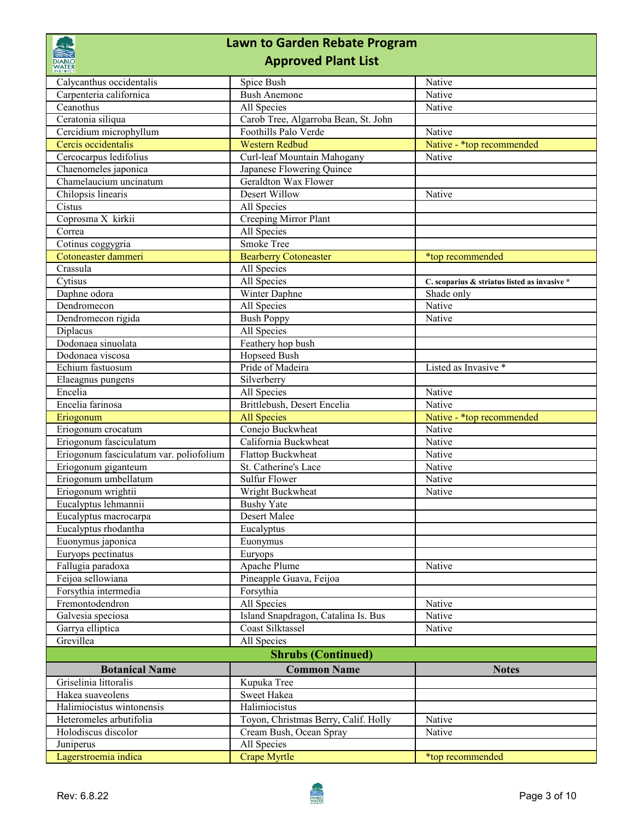## **Lawn to Garden Rebate Program Approved Plant List** Calycanthus occidentalis Spice Bush Native Carpenteria californica **Bush Anemone** Native Ceanothus **All Species** All Species Native Ceratonia siliqua Carob Tree, Algarroba Bean, St. John Cercidium microphyllum Foothills Palo Verde Native Cercis occidentalis Western Redbud Native - \*top recommended Cercocarpus ledifolius Curl-leaf Mountain Mahogany Native Chaenomeles japonica<br>
Japanese Flowering Quince Chamelaucium uncinatum Geraldton Wax Flower Chilopsis linearis Desert Willow Native Cistus All Species<br>
Coprosma X kirkii Creeping M Creeping Mirror Plant Correa All Species Cotinus coggygria Smoke Tree Cotoneaster dammeri Bearberry Cotoneaster \*top recommended Crassula All Species Cytisus All Species **C. scoparius & striatus listed as invasive \*** Daphne odora **Winter Daphne** Shade only Dendromecon and All Species and All Species and All Species and All Species and All Species and All Species and All Species and All Species and All Species and All Species and All Species and All Species and All Species an Dendromecon rigida Bush Poppy Native Diplacus All Species Dodonaea sinuolata Feathery hop bush Dodonaea viscosa Hopseed Bush<br>Echium fastuosum Pride of Madeira Echium fastuosum Pride of Madeira Listed as Invasive \* Elaeagnus pungens Silverberry Encelia and All Species and All Species and All Species and All Species and All Species and All Species and All Species and All Species and All Species and All Species and All Species and All Species and All Species and Al Encelia farinosa **Brittlebush, Desert Encelia** Native Eriogonum **All Species** All Species Native - \*top recommended Eriogonum crocatum Conejo Buckwheat Native Eriogonum fasciculatum California Buckwheat Native Eriogonum fasciculatum var. poliofolium Flattop Buckwheat Native Eriogonum giganteum St. Catherine's Lace Native Eriogonum umbellatum Sulfur Flower Native Native Eriogonum wrightii **Native Little Wright Buckwheat** Native Native Native Native Native Native Native Native Native Native Native Native Native Native Native Native Native Native Native Native Native Native Native Native Na Eucalyptus lehmannii Bushy Yate Eucalyptus macrocarpa Desert Malee Eucalyptus rhodantha Eucalyptus Euonymus japonica Euonymus Euryops pectinatus Euryops Fallugia paradoxa Apache Plume Native Native Native Native Native Native Native Native Native Native Native Native Native Native Native Native Native Native Native Native Native Native Native Native Native Native Native Na Feijoa sellowiana Pineapple Guava, Feijoa Forsythia intermedia Forsythia Fremontodendron All Species Native Galvesia speciosa Island Snapdragon, Catalina Is. Bus Native Garrya elliptica Coast Silktassel Native Grevillea All Species **Botanical Name Notes Common Name Notes** Griselinia littoralis Kupuka Tree Hakea suaveolens Sweet Hakea Halimiocistus wintonensis<br>
Halimiocistus Heteromeles arbutifolia<br>
Toyon, Christ Toyon, Christmas Berry, Calif. Holly Native Holodiscus discolor Cream Bush, Ocean Spray Native **Shrubs (Continued)**

Juniperus All Species



Lagerstroemia indica Crape Myrtle \*top recommended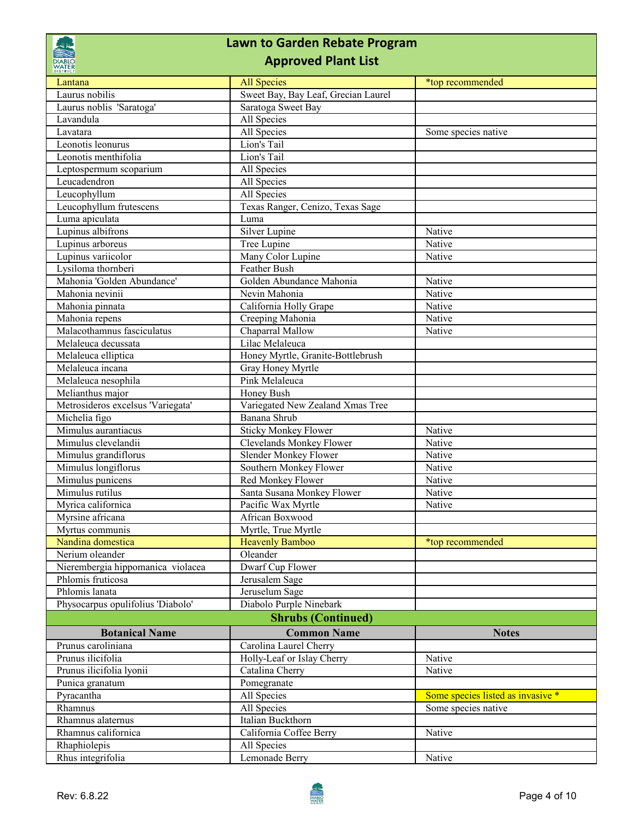| <b>Lawn to Garden Rebate Program</b><br><b>Approved Plant List</b><br><b>DIABLC</b><br><b>WATER</b> |                                     |                                   |
|-----------------------------------------------------------------------------------------------------|-------------------------------------|-----------------------------------|
|                                                                                                     |                                     |                                   |
| Lantana<br>Laurus nobilis                                                                           | Sweet Bay, Bay Leaf, Grecian Laurel |                                   |
| Laurus noblis 'Saratoga'                                                                            | Saratoga Sweet Bay                  |                                   |
| Lavandula                                                                                           | All Species                         |                                   |
| Lavatara                                                                                            | All Species                         | Some species native               |
| Leonotis leonurus                                                                                   | Lion's Tail                         |                                   |
| Leonotis menthifolia                                                                                | Lion's Tail                         |                                   |
|                                                                                                     | All Species                         |                                   |
| Leptospermum scoparium<br>Leucadendron                                                              | All Species                         |                                   |
|                                                                                                     |                                     |                                   |
| Leucophyllum                                                                                        | All Species                         |                                   |
| Leucophyllum frutescens                                                                             | Texas Ranger, Cenizo, Texas Sage    |                                   |
| Luma apiculata                                                                                      | Luma                                |                                   |
| Lupinus albifrons                                                                                   | Silver Lupine                       | Native                            |
| Lupinus arboreus                                                                                    | Tree Lupine                         | Native                            |
| Lupinus variicolor                                                                                  | Many Color Lupine                   | Native                            |
| Lysiloma thornberi                                                                                  | Feather Bush                        |                                   |
| Mahonia 'Golden Abundance'                                                                          | Golden Abundance Mahonia            | Native                            |
| Mahonia nevinii                                                                                     | Nevin Mahonia                       | Native                            |
| Mahonia pinnata                                                                                     | California Holly Grape              | Native                            |
| Mahonia repens                                                                                      | Creeping Mahonia                    | Native                            |
| Malacothamnus fasciculatus                                                                          | Chaparral Mallow                    | Native                            |
| Melaleuca decussata                                                                                 | Lilac Melaleuca                     |                                   |
| Melaleuca elliptica                                                                                 | Honey Myrtle, Granite-Bottlebrush   |                                   |
| Melaleuca incana                                                                                    | Gray Honey Myrtle                   |                                   |
| Melaleuca nesophila                                                                                 | Pink Melaleuca                      |                                   |
| Melianthus major                                                                                    | Honey Bush                          |                                   |
| Metrosideros excelsus 'Variegata'                                                                   | Variegated New Zealand Xmas Tree    |                                   |
| Michelia figo                                                                                       | Banana Shrub                        |                                   |
| Mimulus aurantiacus                                                                                 | <b>Sticky Monkey Flower</b>         | Native                            |
| Mimulus clevelandii                                                                                 | Clevelands Monkey Flower            | Native                            |
| Mimulus grandiflorus                                                                                | Slender Monkey Flower               | Native                            |
| Mimulus longiflorus                                                                                 | Southern Monkey Flower              | Native                            |
| Mimulus punicens                                                                                    | Red Monkey Flower                   | Native                            |
| Mimulus rutilus                                                                                     | Santa Susana Monkey Flower          | Native                            |
| Myrica californica                                                                                  | Pacific Wax Myrtle                  | Native                            |
| Myrsine africana                                                                                    | African Boxwood                     |                                   |
| Myrtus communis                                                                                     | Myrtle, True Myrtle                 |                                   |
| Nandina domestica                                                                                   | <b>Heavenly Bamboo</b>              | *top recommended                  |
| Nerium oleander                                                                                     | Oleander                            |                                   |
| Nierembergia hippomanica violacea                                                                   | Dwarf Cup Flower                    |                                   |
| Phlomis fruticosa                                                                                   | Jerusalem Sage                      |                                   |
| Phlomis lanata                                                                                      | Jeruselum Sage                      |                                   |
|                                                                                                     |                                     |                                   |
| Physocarpus opulifolius 'Diabolo'                                                                   | Diabolo Purple Ninebark             |                                   |
|                                                                                                     | <b>Shrubs (Continued)</b>           |                                   |
| <b>Botanical Name</b>                                                                               | <b>Common Name</b>                  | <b>Notes</b>                      |
| Prunus caroliniana                                                                                  | Carolina Laurel Cherry              |                                   |
| Prunus ilicifolia                                                                                   | Holly-Leaf or Islay Cherry          | Native                            |
| Prunus ilicifolia lyonii                                                                            | Catalina Cherry                     | Native                            |
| Punica granatum                                                                                     | Pomegranate                         |                                   |
| Pyracantha                                                                                          | All Species                         | Some species listed as invasive * |
| Rhamnus                                                                                             | All Species                         | Some species native               |
| Rhamnus alaternus                                                                                   | Italian Buckthorn                   |                                   |
| Rhamnus californica                                                                                 | California Coffee Berry             | Native                            |
| Rhaphiolepis                                                                                        | All Species                         |                                   |
| Rhus integrifolia                                                                                   | Lemonade Berry                      | Native                            |
|                                                                                                     |                                     |                                   |

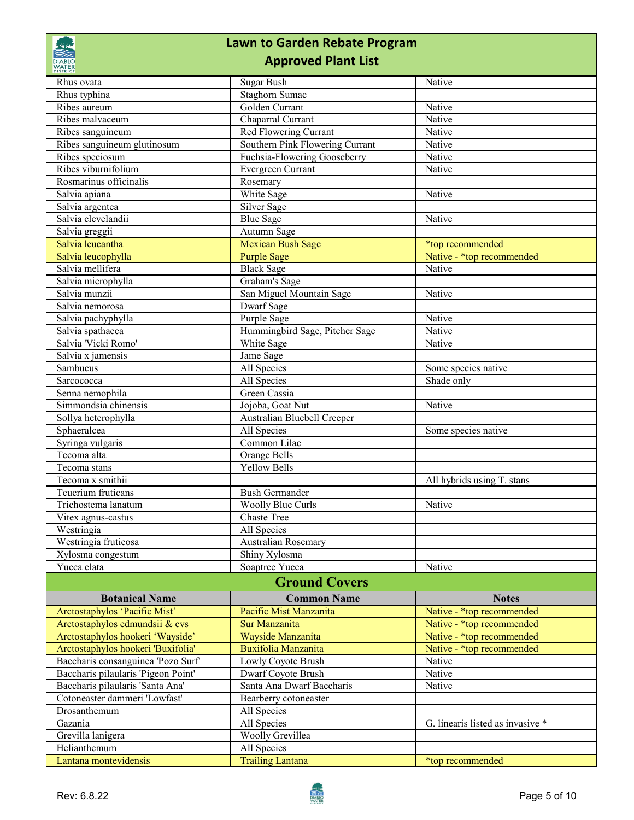## **Lawn to Garden Rebate Program Approved Plant List**

| <b>DIABLO</b><br>WATER<br><b>DISTRICT</b><br><b>Approved Plant List</b> |                                 |                                  |  |
|-------------------------------------------------------------------------|---------------------------------|----------------------------------|--|
| Rhus ovata                                                              | Sugar Bush                      | Native                           |  |
| Rhus typhina                                                            | <b>Staghorn Sumac</b>           |                                  |  |
| Ribes aureum                                                            | Golden Currant                  | Native                           |  |
| Ribes malvaceum                                                         | Chaparral Currant               | Native                           |  |
| Ribes sanguineum                                                        | Red Flowering Currant           | Native                           |  |
| Ribes sanguineum glutinosum                                             | Southern Pink Flowering Currant | Native                           |  |
| Ribes speciosum                                                         | Fuchsia-Flowering Gooseberry    | Native                           |  |
| Ribes viburnifolium                                                     | Evergreen Currant               | Native                           |  |
| Rosmarinus officinalis                                                  | Rosemary                        |                                  |  |
| Salvia apiana                                                           | White Sage                      | Native                           |  |
| Salvia argentea                                                         | Silver Sage                     |                                  |  |
| Salvia clevelandii                                                      | <b>Blue Sage</b>                | Native                           |  |
| Salvia greggii                                                          | Autumn Sage                     |                                  |  |
| Salvia leucantha                                                        | <b>Mexican Bush Sage</b>        | *top recommended                 |  |
| Salvia leucophylla                                                      | <b>Purple Sage</b>              | Native - *top recommended        |  |
| Salvia mellifera                                                        | <b>Black Sage</b>               | Native                           |  |
| Salvia microphylla                                                      | Graham's Sage                   |                                  |  |
| Salvia munzii                                                           | San Miguel Mountain Sage        | Native                           |  |
| Salvia nemorosa                                                         | Dwarf Sage                      |                                  |  |
| Salvia pachyphylla                                                      | Purple Sage                     | Native                           |  |
| Salvia spathacea                                                        | Hummingbird Sage, Pitcher Sage  | Native                           |  |
| Salvia 'Vicki Romo'                                                     | White Sage                      | Native                           |  |
| Salvia x jamensis                                                       | Jame Sage                       |                                  |  |
| Sambucus                                                                | All Species                     | Some species native              |  |
| Sarcococca                                                              | All Species                     | Shade only                       |  |
| Senna nemophila                                                         | Green Cassia                    |                                  |  |
| Simmondsia chinensis                                                    | Jojoba, Goat Nut                | Native                           |  |
| Sollya heterophylla                                                     | Australian Bluebell Creeper     |                                  |  |
| Sphaeralcea                                                             | All Species                     | Some species native              |  |
| Syringa vulgaris                                                        | Common Lilac                    |                                  |  |
| Tecoma alta                                                             | Orange Bells                    |                                  |  |
| Tecoma stans                                                            | <b>Yellow Bells</b>             |                                  |  |
| Tecoma x smithii                                                        |                                 | All hybrids using T. stans       |  |
| Teucrium fruticans                                                      | <b>Bush Germander</b>           |                                  |  |
| Trichostema lanatum                                                     | <b>Woolly Blue Curls</b>        | Native                           |  |
| Vitex agnus-castus                                                      | <b>Chaste Tree</b>              |                                  |  |
| Westringia                                                              | All Species                     |                                  |  |
| Westringia fruticosa                                                    | Australian Rosemary             |                                  |  |
| Xylosma congestum                                                       | Shiny Xylosma                   |                                  |  |
| Yucca elata                                                             | Soaptree Yucca                  | Native                           |  |
| <b>Ground Covers</b>                                                    |                                 |                                  |  |
| <b>Botanical Name</b>                                                   | <b>Common Name</b>              | <b>Notes</b>                     |  |
| Arctostaphylos 'Pacific Mist'                                           | Pacific Mist Manzanita          | Native - *top recommended        |  |
| Arctostaphylos edmundsii & cvs                                          | Sur Manzanita                   | Native - *top recommended        |  |
| Arctostaphylos hookeri 'Wayside'                                        | Wayside Manzanita               | Native - *top recommended        |  |
| Arctostaphylos hookeri 'Buxifolia'                                      | Buxifolia Manzanita             | Native - *top recommended        |  |
| Baccharis consanguinea 'Pozo Surf'                                      | Lowly Coyote Brush              | Native                           |  |
| Baccharis pilaularis 'Pigeon Point'                                     | Dwarf Coyote Brush              | Native                           |  |
| Baccharis pilaularis 'Santa Ana'                                        | Santa Ana Dwarf Baccharis       | Native                           |  |
| Cotoneaster dammeri 'Lowfast'                                           | Bearberry cotoneaster           |                                  |  |
| Drosanthemum                                                            | All Species                     |                                  |  |
| Gazania                                                                 | All Species                     | G. linearis listed as invasive * |  |
|                                                                         |                                 |                                  |  |
|                                                                         | Woolly Grevillea                |                                  |  |
| Grevilla lanigera<br>Helianthemum                                       | All Species                     |                                  |  |

R

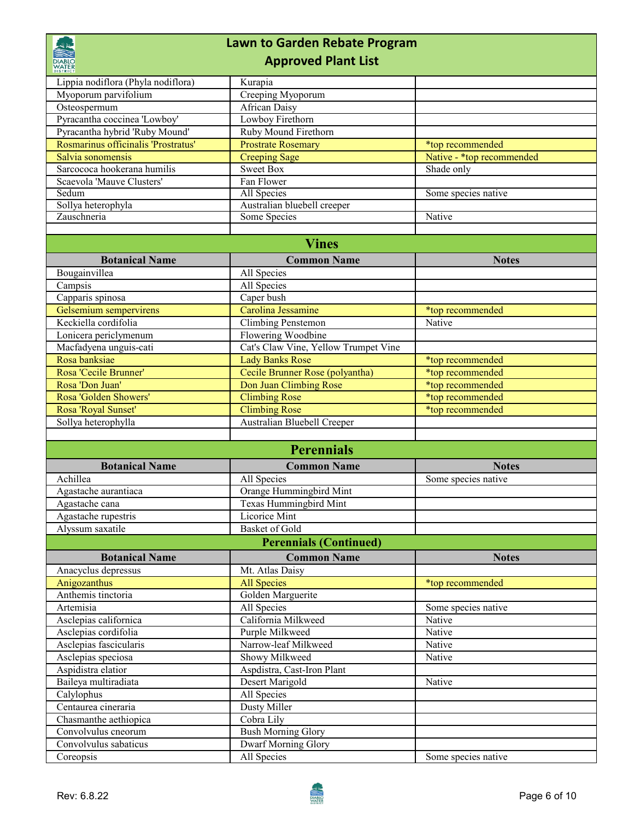| <b>DIABLO</b><br><b>WATER</b>                                         | <b>Lawn to Garden Rebate Program</b><br><b>Approved Plant List</b> |                           |
|-----------------------------------------------------------------------|--------------------------------------------------------------------|---------------------------|
|                                                                       |                                                                    |                           |
| Lippia nodiflora (Phyla nodiflora)                                    | Kurapia                                                            |                           |
| Myoporum parvifolium                                                  | Creeping Myoporum                                                  |                           |
| Osteospermum                                                          | <b>African Daisy</b>                                               |                           |
| Pyracantha coccinea 'Lowboy'                                          | Lowboy Firethorn                                                   |                           |
| Pyracantha hybrid 'Ruby Mound'<br>Rosmarinus officinalis 'Prostratus' | Ruby Mound Firethorn                                               |                           |
|                                                                       | <b>Prostrate Rosemary</b>                                          | *top recommended          |
| Salvia sonomensis<br>Sarcococa hookerana humilis                      | <b>Creeping Sage</b>                                               | Native - *top recommended |
| Scaevola 'Mauve Clusters'                                             | <b>Sweet Box</b><br>Fan Flower                                     | Shade only                |
| Sedum                                                                 | All Species                                                        | Some species native       |
| Sollya heterophyla                                                    | Australian bluebell creeper                                        |                           |
| Zauschneria                                                           | Some Species                                                       | Native                    |
|                                                                       |                                                                    |                           |
|                                                                       | <b>Vines</b>                                                       |                           |
|                                                                       |                                                                    |                           |
| <b>Botanical Name</b>                                                 | <b>Common Name</b>                                                 | <b>Notes</b>              |
| Bougainvillea                                                         | All Species                                                        |                           |
| Campsis                                                               | All Species                                                        |                           |
| Capparis spinosa                                                      | Caper bush                                                         |                           |
| Gelsemium sempervirens                                                | Carolina Jessamine                                                 | *top recommended          |
| Keckiella cordifolia                                                  | Climbing Penstemon                                                 | Native                    |
| Lonicera periclymenum                                                 | Flowering Woodbine                                                 |                           |
| Macfadyena unguis-cati                                                | Cat's Claw Vine, Yellow Trumpet Vine                               |                           |
| Rosa banksiae                                                         | <b>Lady Banks Rose</b>                                             | *top recommended          |
| Rosa 'Cecile Brunner'<br>Rosa 'Don Juan'                              | Cecile Brunner Rose (polyantha)                                    | *top recommended          |
| Rosa 'Golden Showers'                                                 | Don Juan Climbing Rose                                             | *top recommended          |
|                                                                       | <b>Climbing Rose</b><br><b>Climbing Rose</b>                       | *top recommended          |
| Rosa 'Royal Sunset'<br>Sollya heterophylla                            | Australian Bluebell Creeper                                        | *top recommended          |
|                                                                       |                                                                    |                           |
|                                                                       | <b>Perennials</b>                                                  |                           |
| <b>Botanical Name</b>                                                 | <b>Common Name</b>                                                 | <b>Notes</b>              |
| Achillea                                                              | All Species                                                        | Some species native       |
| Agastache aurantiaca                                                  | Orange Hummingbird Mint                                            |                           |
| Agastache cana                                                        | Texas Hummingbird Mint                                             |                           |
| Agastache rupestris                                                   | Licorice Mint                                                      |                           |
| Alyssum saxatile                                                      | Basket of Gold                                                     |                           |
|                                                                       | <b>Perennials (Continued)</b>                                      |                           |
| <b>Botanical Name</b>                                                 | <b>Common Name</b>                                                 | <b>Notes</b>              |
| Anacyclus depressus                                                   | Mt. Atlas Daisy                                                    |                           |
| Anigozanthus                                                          | <b>All Species</b>                                                 | *top recommended          |
| Anthemis tinctoria                                                    | Golden Marguerite                                                  |                           |
| Artemisia                                                             | All Species                                                        | Some species native       |
| Asclepias californica                                                 | California Milkweed                                                | Native                    |
| Asclepias cordifolia                                                  | Purple Milkweed                                                    | Native                    |
| Asclepias fascicularis                                                | Narrow-leaf Milkweed                                               | Native                    |
| Asclepias speciosa                                                    | Showy Milkweed                                                     | Native                    |
| Aspidistra elatior                                                    | Aspdistra, Cast-Iron Plant                                         |                           |
| Baileya multiradiata                                                  | Desert Marigold                                                    | Native                    |
| Calylophus                                                            | All Species                                                        |                           |
| Centaurea cineraria                                                   | Dusty Miller                                                       |                           |
| Chasmanthe aethiopica                                                 | Cobra Lily                                                         |                           |
| Convolvulus cneorum                                                   | <b>Bush Morning Glory</b>                                          |                           |
| Convolvulus sabaticus                                                 | <b>Dwarf Morning Glory</b>                                         |                           |
| Coreopsis                                                             | All Species                                                        | Some species native       |

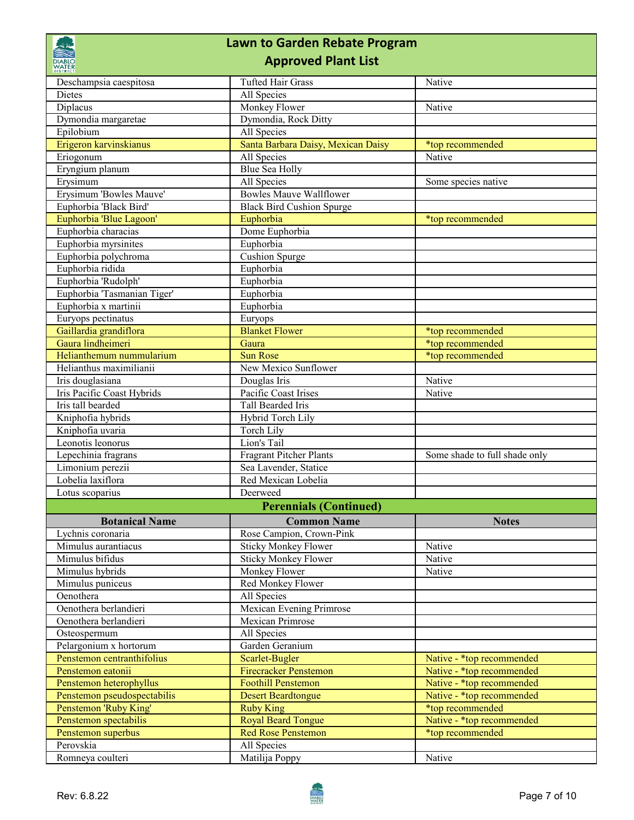|                                                   | <b>Lawn to Garden Rebate Program</b>                    |                               |
|---------------------------------------------------|---------------------------------------------------------|-------------------------------|
| DIABLO<br><b>WATER</b>                            | <b>Approved Plant List</b>                              |                               |
| Deschampsia caespitosa                            | <b>Tufted Hair Grass</b>                                | Native                        |
| <b>Dietes</b>                                     | All Species                                             |                               |
| Diplacus                                          | Monkey Flower                                           | Native                        |
| Dymondia margaretae                               | Dymondia, Rock Ditty                                    |                               |
| Epilobium                                         | All Species                                             |                               |
| Erigeron karvinskianus                            | Santa Barbara Daisy, Mexican Daisy                      | *top recommended              |
| Eriogonum                                         | All Species                                             | Native                        |
| Eryngium planum                                   | Blue Sea Holly                                          |                               |
| Erysimum                                          | All Species<br><b>Bowles Mauve Wallflower</b>           | Some species native           |
| Erysimum 'Bowles Mauve'                           |                                                         |                               |
| Euphorbia 'Black Bird'<br>Euphorbia 'Blue Lagoon' | <b>Black Bird Cushion Spurge</b><br>Euphorbia           |                               |
| Euphorbia characias                               | Dome Euphorbia                                          | *top recommended              |
| Euphorbia myrsinites                              | Euphorbia                                               |                               |
| Euphorbia polychroma                              | <b>Cushion Spurge</b>                                   |                               |
| Euphorbia ridida                                  | Euphorbia                                               |                               |
| Euphorbia 'Rudolph'                               | Euphorbia                                               |                               |
| Euphorbia 'Tasmanian Tiger'                       | Euphorbia                                               |                               |
| Euphorbia x martinii                              | Euphorbia                                               |                               |
| Euryops pectinatus                                | Euryops                                                 |                               |
| Gaillardia grandiflora                            | <b>Blanket Flower</b>                                   | *top recommended              |
| Gaura lindheimeri                                 | Gaura                                                   | *top recommended              |
| Helianthemum nummularium                          | <b>Sun Rose</b>                                         | *top recommended              |
| Helianthus maximilianii                           | New Mexico Sunflower                                    |                               |
| Iris douglasiana                                  | Douglas Iris                                            | Native                        |
| Iris Pacific Coast Hybrids                        | Pacific Coast Irises                                    | Native                        |
| Iris tall bearded                                 | Tall Bearded Iris                                       |                               |
| Kniphofia hybrids                                 | Hybrid Torch Lily                                       |                               |
| Kniphofia uvaria                                  | <b>Torch Lily</b>                                       |                               |
| Leonotis leonorus                                 | Lion's Tail                                             |                               |
| Lepechinia fragrans                               | <b>Fragrant Pitcher Plants</b>                          | Some shade to full shade only |
| Limonium perezii                                  | Sea Lavender, Statice                                   |                               |
| Lobelia laxiflora                                 | Red Mexican Lobelia                                     |                               |
| Lotus scoparius                                   | Deerweed                                                |                               |
|                                                   | <b>Perennials (Continued)</b>                           |                               |
| <b>Botanical Name</b>                             | <b>Common Name</b>                                      | <b>Notes</b>                  |
| Lychnis coronaria<br>Mimulus aurantiacus          | Rose Campion, Crown-Pink<br><b>Sticky Monkey Flower</b> | Native                        |
| Mimulus bifidus                                   | <b>Sticky Monkey Flower</b>                             | Native                        |
| Mimulus hybrids                                   | Monkey Flower                                           | Native                        |
| Mimulus puniceus                                  | Red Monkey Flower                                       |                               |
| Oenothera                                         | All Species                                             |                               |
| Oenothera berlandieri                             | Mexican Evening Primrose                                |                               |
| Oenothera berlandieri                             | Mexican Primrose                                        |                               |
| Osteospermum                                      | All Species                                             |                               |
| Pelargonium x hortorum                            | Garden Geranium                                         |                               |
| Penstemon centranthifolius                        | Scarlet-Bugler                                          | Native - *top recommended     |
| Penstemon eatonii                                 | <b>Firecracker Penstemon</b>                            | Native - *top recommended     |
| Penstemon heterophyllus                           | <b>Foothill Penstemon</b>                               | Native - *top recommended     |
| Penstemon pseudospectabilis                       | <b>Desert Beardtongue</b>                               | Native - *top recommended     |
| Penstemon 'Ruby King'                             | <b>Ruby King</b>                                        | *top recommended              |
| Penstemon spectabilis                             | <b>Royal Beard Tongue</b>                               | Native - *top recommended     |
| Penstemon superbus                                | <b>Red Rose Penstemon</b>                               | *top recommended              |
| Perovskia                                         | All Species                                             |                               |
| Romneya coulteri                                  | Matilija Poppy                                          | Native                        |

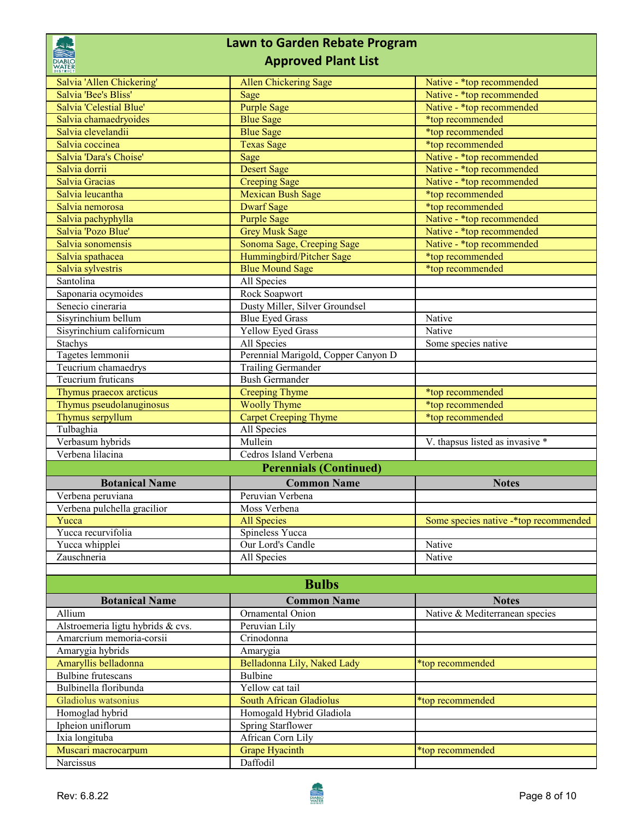|                                                  | <b>Lawn to Garden Rebate Program</b>   |                                               |  |
|--------------------------------------------------|----------------------------------------|-----------------------------------------------|--|
| <b>DIABLO</b><br><b>WATER</b><br><b>DISTRICT</b> | <b>Approved Plant List</b>             |                                               |  |
| Salvia 'Allen Chickering'                        | <b>Allen Chickering Sage</b>           | Native - *top recommended                     |  |
| Salvia 'Bee's Bliss'                             | Sage                                   | Native - *top recommended                     |  |
| Salvia 'Celestial Blue'                          | <b>Purple Sage</b>                     | Native - *top recommended                     |  |
| Salvia chamaedryoides                            | <b>Blue Sage</b>                       | *top recommended                              |  |
| Salvia clevelandii                               | <b>Blue Sage</b>                       | *top recommended                              |  |
| Salvia coccinea                                  | <b>Texas Sage</b>                      | *top recommended                              |  |
| Salvia 'Dara's Choise'                           | Sage                                   | Native - *top recommended                     |  |
| Salvia dorrii                                    | <b>Desert Sage</b>                     | Native - *top recommended                     |  |
| Salvia Gracias                                   | <b>Creeping Sage</b>                   | Native - *top recommended                     |  |
| Salvia leucantha<br>Salvia nemorosa              | Mexican Bush Sage<br><b>Dwarf</b> Sage | *top recommended                              |  |
| Salvia pachyphylla                               | <b>Purple Sage</b>                     | *top recommended<br>Native - *top recommended |  |
| Salvia 'Pozo Blue'                               | <b>Grey Musk Sage</b>                  | Native - *top recommended                     |  |
| Salvia sonomensis                                | Sonoma Sage, Creeping Sage             | Native - *top recommended                     |  |
| Salvia spathacea                                 | Hummingbird/Pitcher Sage               | *top recommended                              |  |
| Salvia sylvestris                                | <b>Blue Mound Sage</b>                 | *top recommended                              |  |
| Santolina                                        | All Species                            |                                               |  |
| Saponaria ocymoides                              | Rock Soapwort                          |                                               |  |
| Senecio cineraria                                | Dusty Miller, Silver Groundsel         |                                               |  |
| Sisyrinchium bellum                              | <b>Blue Eyed Grass</b>                 | Native                                        |  |
| Sisyrinchium californicum                        | <b>Yellow Eyed Grass</b>               | Native                                        |  |
| Stachys                                          | All Species                            | Some species native                           |  |
| Tagetes lemmonii                                 | Perennial Marigold, Copper Canyon D    |                                               |  |
| Teucrium chamaedrys                              | <b>Trailing Germander</b>              |                                               |  |
| Teucrium fruticans                               | <b>Bush Germander</b>                  |                                               |  |
| Thymus praecox arcticus                          | <b>Creeping Thyme</b>                  | *top recommended                              |  |
| Thymus pseudolanuginosus                         | <b>Woolly Thyme</b>                    | *top recommended                              |  |
| Thymus serpyllum                                 | <b>Carpet Creeping Thyme</b>           | *top recommended                              |  |
| Tulbaghia                                        | All Species                            |                                               |  |
| Verbasum hybrids                                 | Mullein                                | V. thapsus listed as invasive *               |  |
| Verbena lilacina                                 | Cedros Island Verbena                  |                                               |  |
|                                                  | <b>Perennials (Continued)</b>          |                                               |  |
| <b>Botanical Name</b>                            | <b>Common Name</b>                     | <b>Notes</b>                                  |  |
| Verbena peruviana                                | Peruvian Verbena                       |                                               |  |
| Verbena pulchella gracilior                      | Moss Verbena                           |                                               |  |
| Yucca                                            | <b>All Species</b>                     | Some species native -* top recommended        |  |
| Yucca recurvifolia                               | Spineless Yucca                        |                                               |  |
| Yucca whipplei                                   | Our Lord's Candle                      | Native                                        |  |
| Zauschneria                                      | All Species                            | Native                                        |  |
|                                                  |                                        |                                               |  |
| <b>Bulbs</b>                                     |                                        |                                               |  |
| <b>Botanical Name</b>                            | <b>Common Name</b>                     | <b>Notes</b>                                  |  |
| Allium                                           | Ornamental Onion                       | Native & Mediterranean species                |  |
| Alstroemeria ligtu hybrids & cvs.                | Peruvian Lily                          |                                               |  |
| Amarcrium memoria-corsii                         | Crinodonna                             |                                               |  |
| Amarygia hybrids                                 | Amarygia                               |                                               |  |
| Amaryllis belladonna                             | Belladonna Lily, Naked Lady            | *top recommended                              |  |
| <b>Bulbine</b> frutescans                        | <b>Bulbine</b>                         |                                               |  |
| Bulbinella floribunda                            | Yellow cat tail                        |                                               |  |
| Gladiolus watsonius                              | South African Gladiolus                | *top recommended                              |  |
| Homoglad hybrid                                  | Homogald Hybrid Gladiola               |                                               |  |
| Ipheion uniflorum                                | Spring Starflower                      |                                               |  |
| Ixia longituba                                   | African Corn Lily                      |                                               |  |
| Muscari macrocarpum                              | <b>Grape Hyacinth</b>                  | *top recommended                              |  |
| Narcissus                                        | Daffodil                               |                                               |  |

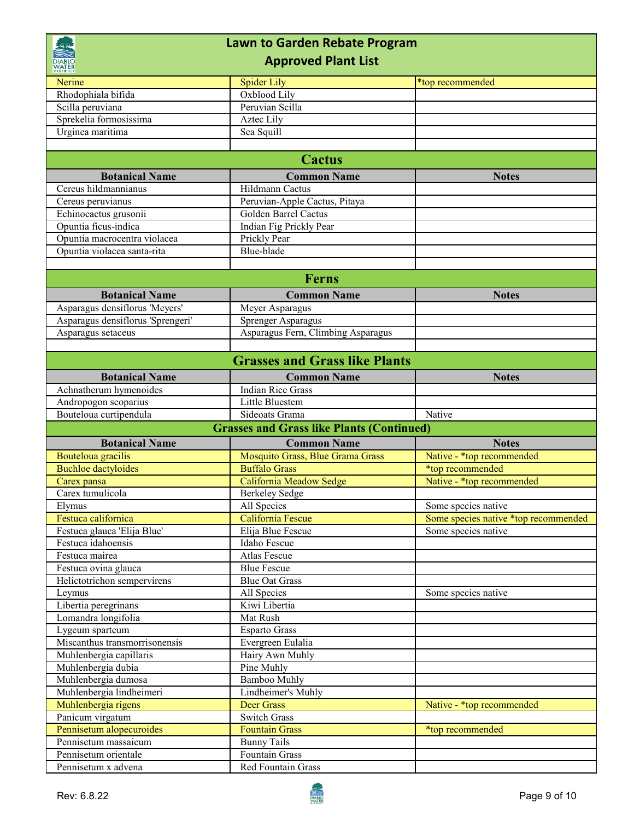| <b>Lawn to Garden Rebate Program</b>    |                                                  |                                      |  |
|-----------------------------------------|--------------------------------------------------|--------------------------------------|--|
| <b>Approved Plant List</b>              |                                                  |                                      |  |
| Nerine                                  | <b>Spider Lily</b>                               | *top recommended                     |  |
| Rhodophiala bifida                      | Oxblood Lily                                     |                                      |  |
| Scilla peruviana                        | Peruvian Scilla                                  |                                      |  |
| Sprekelia formosissima                  | Aztec Lily                                       |                                      |  |
| Urginea maritima                        | Sea Squill                                       |                                      |  |
|                                         |                                                  |                                      |  |
|                                         | <b>Cactus</b>                                    |                                      |  |
| <b>Botanical Name</b>                   | <b>Common Name</b>                               | <b>Notes</b>                         |  |
| Cereus hildmannianus                    | Hildmann Cactus                                  |                                      |  |
| Cereus peruvianus                       | Peruvian-Apple Cactus, Pitaya                    |                                      |  |
| Echinocactus grusonii                   | Golden Barrel Cactus                             |                                      |  |
| Opuntia ficus-indica                    | Indian Fig Prickly Pear                          |                                      |  |
| Opuntia macrocentra violacea            | Prickly Pear                                     |                                      |  |
| Opuntia violacea santa-rita             | Blue-blade                                       |                                      |  |
|                                         | <b>Ferns</b>                                     |                                      |  |
|                                         |                                                  |                                      |  |
| <b>Botanical Name</b>                   | <b>Common Name</b>                               | <b>Notes</b>                         |  |
| Asparagus densiflorus 'Meyers'          | Meyer Asparagus                                  |                                      |  |
| Asparagus densiflorus 'Sprengeri'       | Sprenger Asparagus                               |                                      |  |
| Asparagus setaceus                      | Asparagus Fern, Climbing Asparagus               |                                      |  |
|                                         | <b>Grasses and Grass like Plants</b>             |                                      |  |
| <b>Botanical Name</b>                   | <b>Common Name</b>                               | <b>Notes</b>                         |  |
| Achnatherum hymenoides                  | <b>Indian Rice Grass</b>                         |                                      |  |
| Andropogon scoparius                    | Little Bluestem                                  |                                      |  |
|                                         |                                                  |                                      |  |
| Bouteloua curtipendula                  | Sideoats Grama                                   | Native                               |  |
|                                         | <b>Grasses and Grass like Plants (Continued)</b> |                                      |  |
| <b>Botanical Name</b>                   | <b>Common Name</b>                               | <b>Notes</b>                         |  |
| Bouteloua gracilis                      | Mosquito Grass, Blue Grama Grass                 | Native - *top recommended            |  |
| <b>Buchloe</b> dactyloides              | <b>Buffalo Grass</b>                             | *top recommended                     |  |
| Carex pansa                             | California Meadow Sedge                          | Native - *top recommended            |  |
| Carex tumulicola                        | Berkeley Sedge                                   |                                      |  |
| Elymus                                  | All Species                                      | Some species native                  |  |
| Festuca californica                     | California Fescue                                | Some species native *top recommended |  |
| Festuca glauca 'Elija Blue'             | Elija Blue Fescue                                | Some species native                  |  |
| Festuca idahoensis                      | Idaho Fescue                                     |                                      |  |
| Festuca mairea                          | Atlas Fescue                                     |                                      |  |
| Festuca ovina glauca                    | <b>Blue Fescue</b>                               |                                      |  |
| Helictotrichon sempervirens             | <b>Blue Oat Grass</b>                            |                                      |  |
| Leymus                                  | All Species                                      | Some species native                  |  |
| Libertia peregrinans                    | Kiwi Libertia                                    |                                      |  |
| Lomandra longifolia                     | Mat Rush                                         |                                      |  |
| Lygeum sparteum                         | Esparto Grass                                    |                                      |  |
| Miscanthus transmorrisonensis           | Evergreen Eulalia                                |                                      |  |
| Muhlenbergia capillaris                 | Hairy Awn Muhly                                  |                                      |  |
| Muhlenbergia dubia                      | Pine Muhly                                       |                                      |  |
| Muhlenbergia dumosa                     | <b>Bamboo Muhly</b>                              |                                      |  |
| Muhlenbergia lindheimeri                | Lindheimer's Muhly                               | Native - *top recommended            |  |
| Muhlenbergia rigens<br>Panicum virgatum | Deer Grass<br><b>Switch Grass</b>                |                                      |  |
| Pennisetum alopecuroides                | <b>Fountain Grass</b>                            | *top recommended                     |  |
| Pennisetum massaicum                    | <b>Bunny Tails</b>                               |                                      |  |
| Pennisetum orientale                    | Fountain Grass                                   |                                      |  |